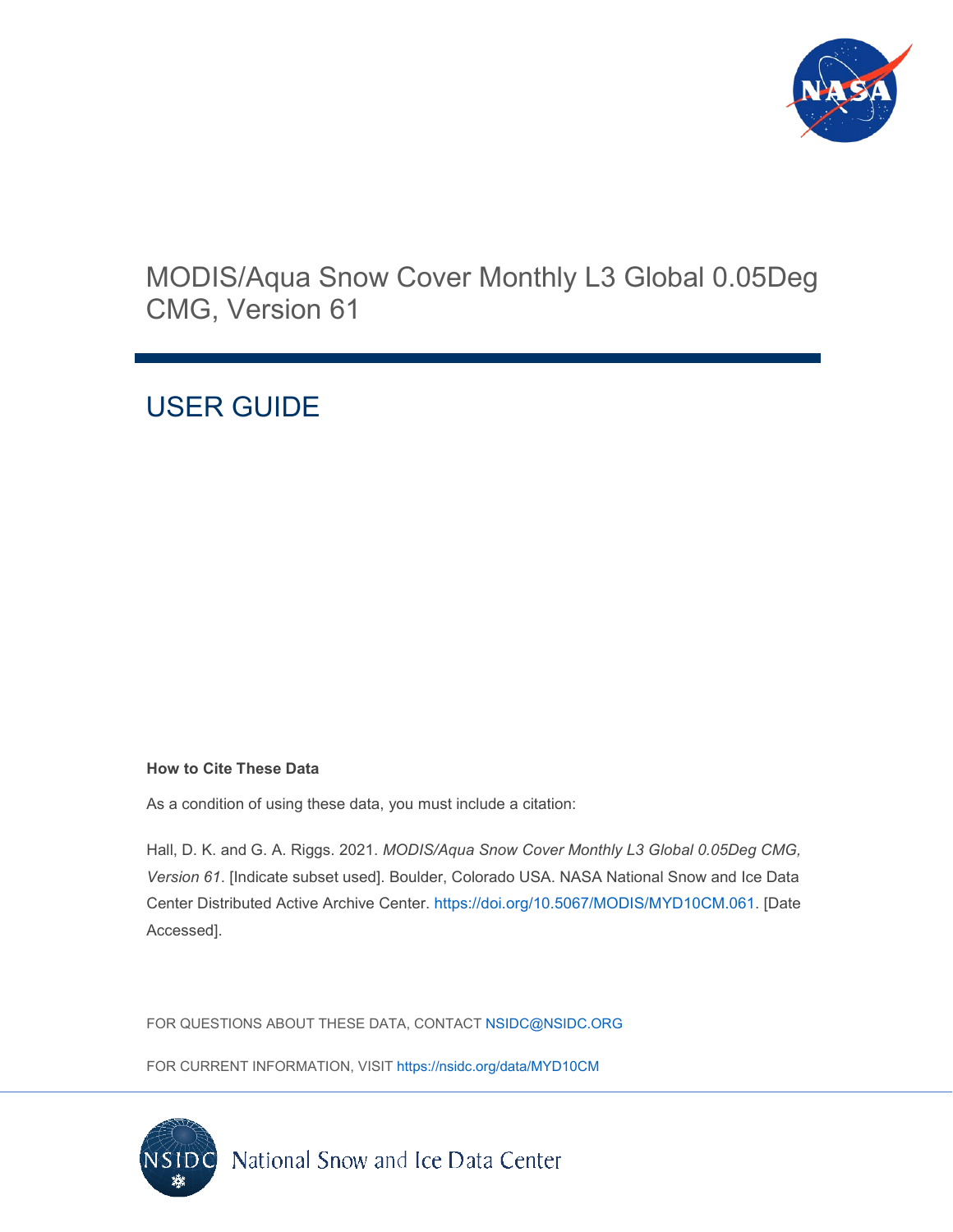

## MODIS/Aqua Snow Cover Monthly L3 Global 0.05Deg CMG, Version 61

# USER GUIDE

#### **How to Cite These Data**

As a condition of using these data, you must include a citation:

Hall, D. K. and G. A. Riggs. 2021. *MODIS/Aqua Snow Cover Monthly L3 Global 0.05Deg CMG, Version 61*. [Indicate subset used]. Boulder, Colorado USA. NASA National Snow and Ice Data Center Distributed Active Archive Center. [https://doi.org/10.5067/MODIS/MYD10CM.061.](https://doi.org/10.5067/MODIS/MYD10CM.061) [Date Accessed].

FOR QUESTIONS ABOUT THESE DATA, CONTACT [NSIDC@NSIDC.ORG](mailto:nsidc@nsidc.org)

FOR CURRENT INFORMATION, VISIT<https://nsidc.org/data/MYD10CM>

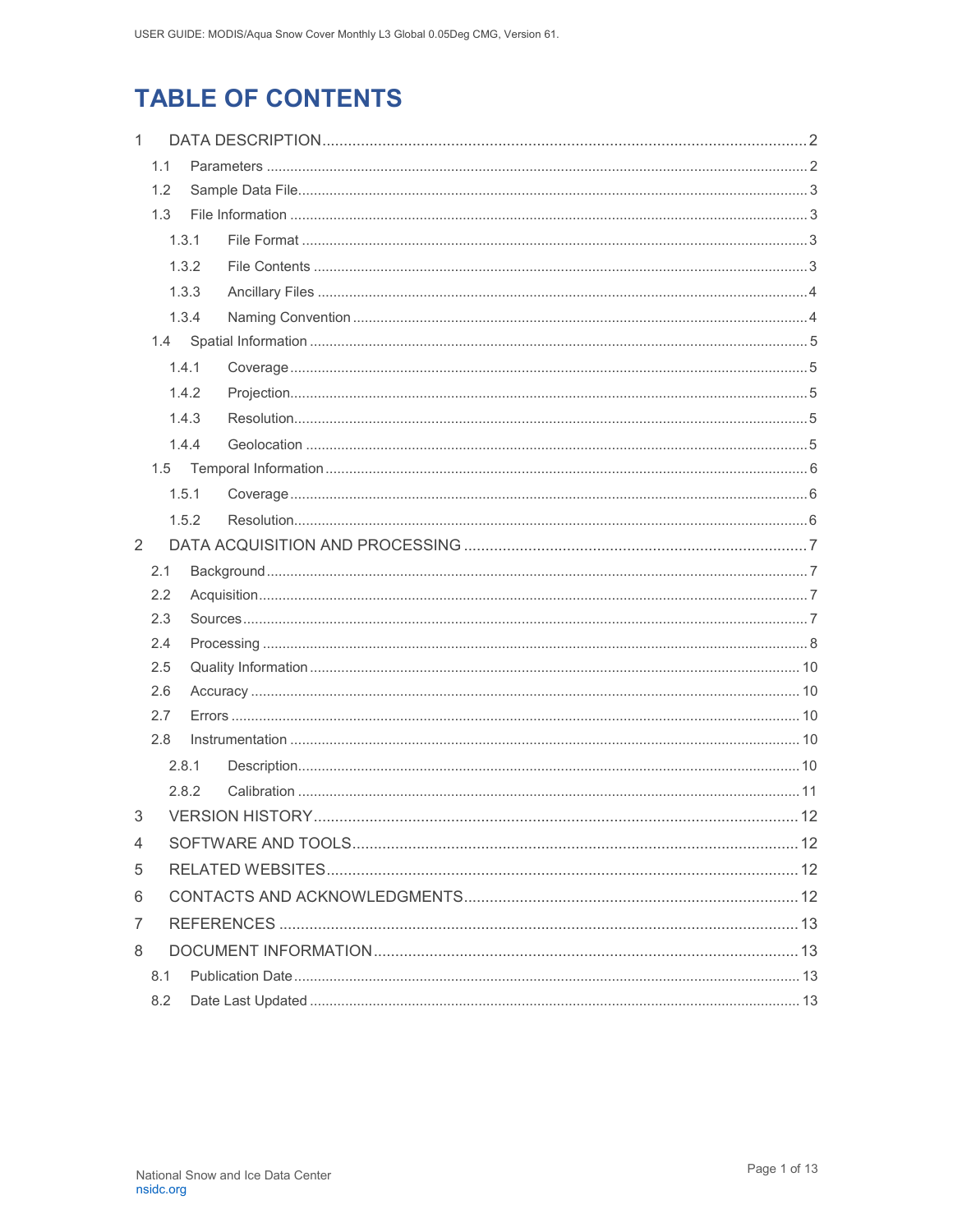# **TABLE OF CONTENTS**

| $\mathbf{1}$ |       |       |  |  |  |  |  |
|--------------|-------|-------|--|--|--|--|--|
|              | 1.1   |       |  |  |  |  |  |
| 1.2          |       |       |  |  |  |  |  |
| 1.3          |       |       |  |  |  |  |  |
|              |       | 1.3.1 |  |  |  |  |  |
|              |       | 1.3.2 |  |  |  |  |  |
|              |       | 1.3.3 |  |  |  |  |  |
|              |       | 1.3.4 |  |  |  |  |  |
|              | 1.4   |       |  |  |  |  |  |
|              |       | 1.4.1 |  |  |  |  |  |
|              |       | 1.4.2 |  |  |  |  |  |
|              |       | 1.4.3 |  |  |  |  |  |
|              |       | 1.4.4 |  |  |  |  |  |
|              | 1.5   |       |  |  |  |  |  |
|              |       | 1.5.1 |  |  |  |  |  |
|              |       | 1.5.2 |  |  |  |  |  |
| 2            |       |       |  |  |  |  |  |
|              | 2.1   |       |  |  |  |  |  |
|              | 2.2   |       |  |  |  |  |  |
|              | 2.3   |       |  |  |  |  |  |
|              | 2.4   |       |  |  |  |  |  |
|              | 2.5   |       |  |  |  |  |  |
|              | 2.6   |       |  |  |  |  |  |
|              | 2.7   |       |  |  |  |  |  |
|              | 2.8   |       |  |  |  |  |  |
|              |       | 2.8.1 |  |  |  |  |  |
| 3            | 2.8.2 |       |  |  |  |  |  |
|              |       |       |  |  |  |  |  |
| 4            |       |       |  |  |  |  |  |
| 5            |       |       |  |  |  |  |  |
| 6            |       |       |  |  |  |  |  |
| 7            |       |       |  |  |  |  |  |
| 8            |       |       |  |  |  |  |  |
|              | 8.1   |       |  |  |  |  |  |
|              | 8.2   |       |  |  |  |  |  |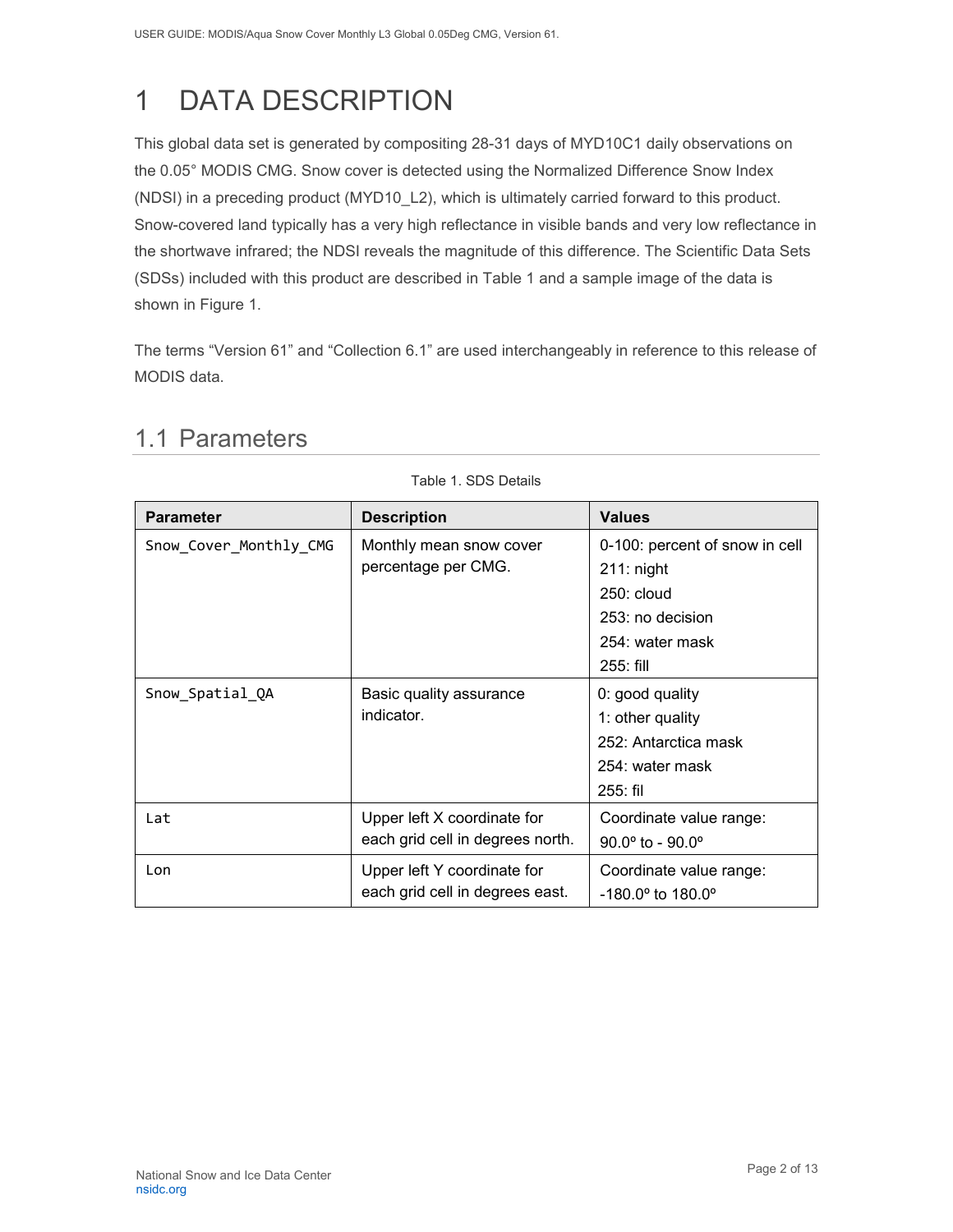# <span id="page-2-0"></span>1 DATA DESCRIPTION

This global data set is generated by compositing 28-31 days of MYD10C1 daily observations on the 0.05° MODIS CMG. Snow cover is detected using the Normalized Difference Snow Index (NDSI) in a preceding product (MYD10\_L2), which is ultimately carried forward to this product. Snow-covered land typically has a very high reflectance in visible bands and very low reflectance in the shortwave infrared; the NDSI reveals the magnitude of this difference. The Scientific Data Sets (SDSs) included with this product are described in Table 1 and a sample image of the data is shown in Figure 1.

<span id="page-2-1"></span>The terms "Version 61" and "Collection 6.1" are used interchangeably in reference to this release of MODIS data.

Table 1. SDS Details

| <b>Parameter</b>       | <b>Description</b>               | <b>Values</b>                       |
|------------------------|----------------------------------|-------------------------------------|
| Snow_Cover_Monthly_CMG | Monthly mean snow cover          | 0-100: percent of snow in cell      |
|                        | percentage per CMG.              | $211:$ night                        |
|                        |                                  | $250:$ cloud                        |
|                        |                                  | 253: no decision                    |
|                        |                                  | 254: water mask                     |
|                        |                                  | 255: fill                           |
| Snow_Spatial_QA        | Basic quality assurance          | 0: good quality                     |
|                        | indicator.                       | 1: other quality                    |
|                        |                                  | 252: Antarctica mask                |
|                        |                                  | 254: water mask                     |
|                        |                                  | $255:$ fil                          |
| Lat                    | Upper left X coordinate for      | Coordinate value range:             |
|                        | each grid cell in degrees north. | $90.0^{\circ}$ to - $90.0^{\circ}$  |
| Lon                    | Upper left Y coordinate for      | Coordinate value range:             |
|                        | each grid cell in degrees east.  | $-180.0^{\circ}$ to $180.0^{\circ}$ |

### 1.1 Parameters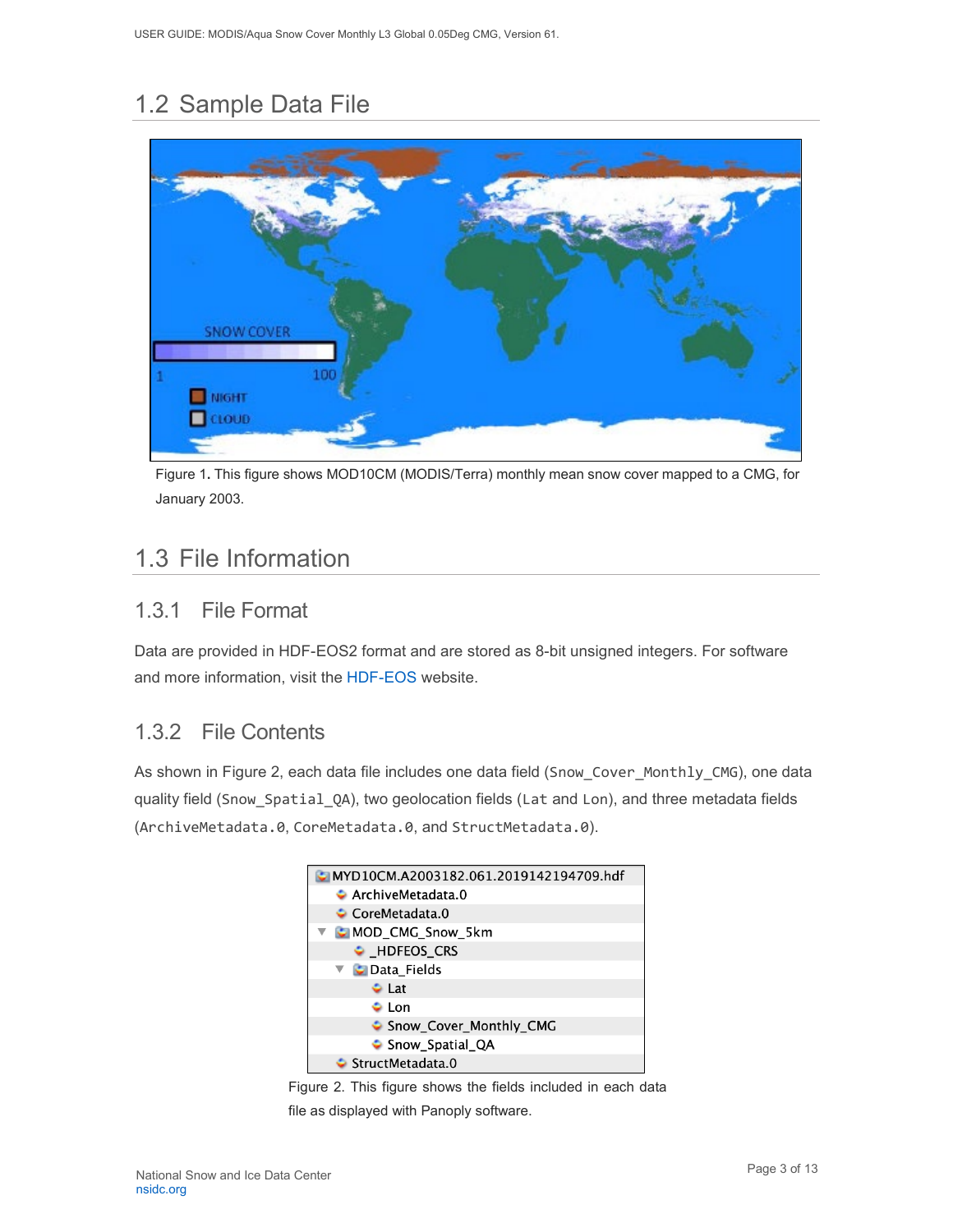## <span id="page-3-0"></span>1.2 Sample Data File



Figure 1**.** This figure shows MOD10CM (MODIS/Terra) monthly mean snow cover mapped to a CMG, for January 2003.

## <span id="page-3-1"></span>1.3 File Information

### <span id="page-3-2"></span>1.3.1 File Format

Data are provided in HDF-EOS2 format and are stored as 8-bit unsigned integers. For software and more information, visit the [HDF-EOS](https://portal.hdfgroup.org/display/support) website.

### <span id="page-3-3"></span>1.3.2 File Contents

As shown in Figure 2, each data file includes one data field (Snow\_Cover\_Monthly\_CMG), one data quality field (Snow\_Spatial\_QA), two geolocation fields (Lat and Lon), and three metadata fields (ArchiveMetadata.0, CoreMetadata.0, and StructMetadata.0).



Figure 2. This figure shows the fields included in each data file as displayed with Panoply software.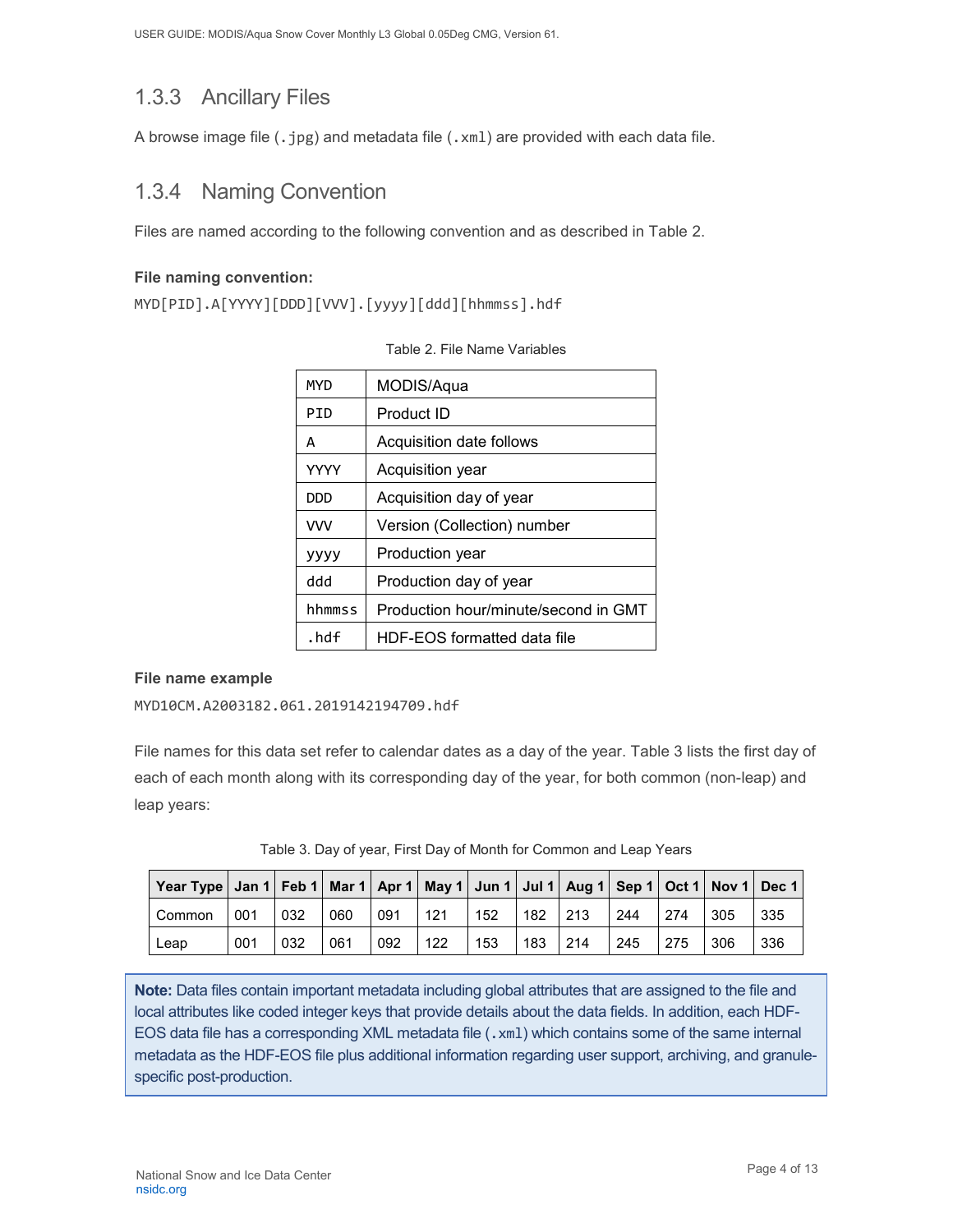### <span id="page-4-0"></span>1.3.3 Ancillary Files

A browse image file (.jpg) and metadata file (.xml) are provided with each data file.

### <span id="page-4-1"></span>1.3.4 Naming Convention

Files are named according to the following convention and as described in Table 2.

#### **File naming convention:**

MYD[PID].A[YYYY][DDD][VVV].[yyyy][ddd][hhmmss].hdf

| MYD        | MODIS/Aqua                           |
|------------|--------------------------------------|
| PTD        | Product ID                           |
| A          | Acquisition date follows             |
| YYYY       | Acquisition year                     |
| DDD.       | Acquisition day of year              |
| <b>VVV</b> | Version (Collection) number          |
| уууу       | Production year                      |
| hbb        | Production day of year               |
| hhmmss     | Production hour/minute/second in GMT |
| .hdf       | HDF-EOS formatted data file          |

#### **File name example**

MYD10CM.A2003182.061.2019142194709.hdf

File names for this data set refer to calendar dates as a day of the year. Table 3 lists the first day of each of each month along with its corresponding day of the year, for both common (non-leap) and leap years:

| Table 3. Day of year, First Day of Month for Common and Leap Years |  |  |
|--------------------------------------------------------------------|--|--|

| Year Type   Jan 1   Feb 1   Mar 1   Apr 1   May 1   Jun 1   Jul 1   Aug 1   Sep 1   Oct 1   Nov 1   Dec 1 |     |               |     |     |      |     |           |             |      |     |     |     |
|-----------------------------------------------------------------------------------------------------------|-----|---------------|-----|-----|------|-----|-----------|-------------|------|-----|-----|-----|
| Common                                                                                                    | 001 | $ 032\rangle$ | 060 | 091 | 1121 | 152 | $182$ 213 |             | 1244 | 274 | 305 | 335 |
| Leap                                                                                                      | 001 | 032           | 061 | 092 | 122  | 153 | 183       | $\vert$ 214 | 1245 | 275 | 306 | 336 |

**Note:** Data files contain important metadata including global attributes that are assigned to the file and local attributes like coded integer keys that provide details about the data fields. In addition, each HDF-EOS data file has a corresponding XML metadata file (.xml) which contains some of the same internal metadata as the HDF-EOS file plus additional information regarding user support, archiving, and granulespecific post-production.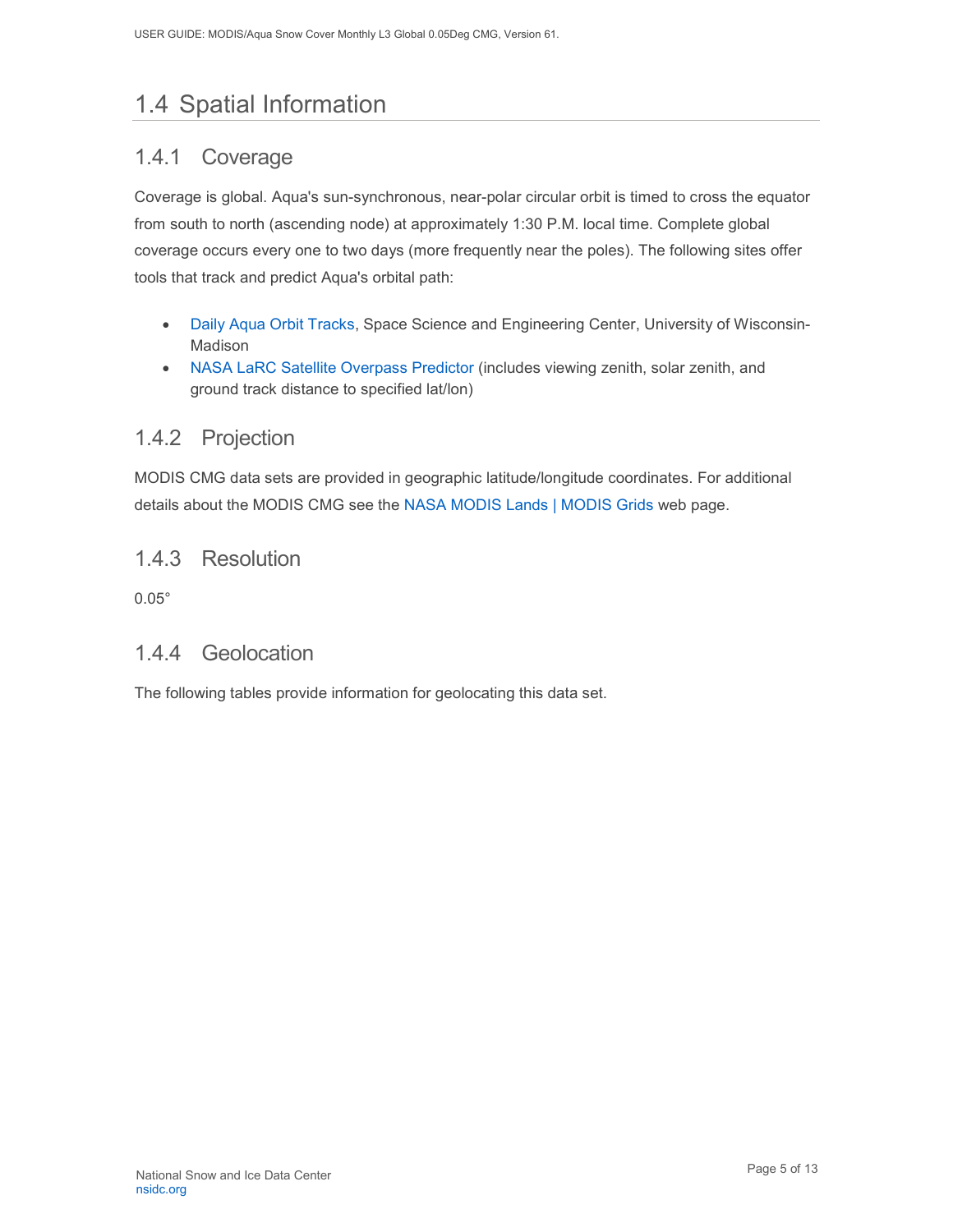## <span id="page-5-0"></span>1.4 Spatial Information

### <span id="page-5-1"></span>1.4.1 Coverage

Coverage is global. Aqua's sun-synchronous, near-polar circular orbit is timed to cross the equator from south to north (ascending node) at approximately 1:30 P.M. local time. Complete global coverage occurs every one to two days (more frequently near the poles). The following sites offer tools that track and predict Aqua's orbital path:

- Daily Aqua [Orbit Tracks,](http://www.ssec.wisc.edu/datacenter/aqua/GLOBAL.html) Space Science and Engineering Center, University of Wisconsin-Madison
- [NASA LaRC Satellite Overpass Predictor](https://cloudsway2.larc.nasa.gov/cgi-bin/predict/predict.cgi?_ga=2.153697019.217361022.1606924565-1178120269.1525111477) (includes viewing zenith, solar zenith, and ground track distance to specified lat/lon)

### <span id="page-5-2"></span>1.4.2 Projection

MODIS CMG data sets are provided in geographic latitude/longitude coordinates. For additional details about the MODIS CMG see the [NASA MODIS Lands | MODIS Grids](https://modis-land.gsfc.nasa.gov/MODLAND_grid.html) web page.

### <span id="page-5-3"></span>1.4.3 Resolution

0.05°

### <span id="page-5-4"></span>1.4.4 Geolocation

The following tables provide information for geolocating this data set.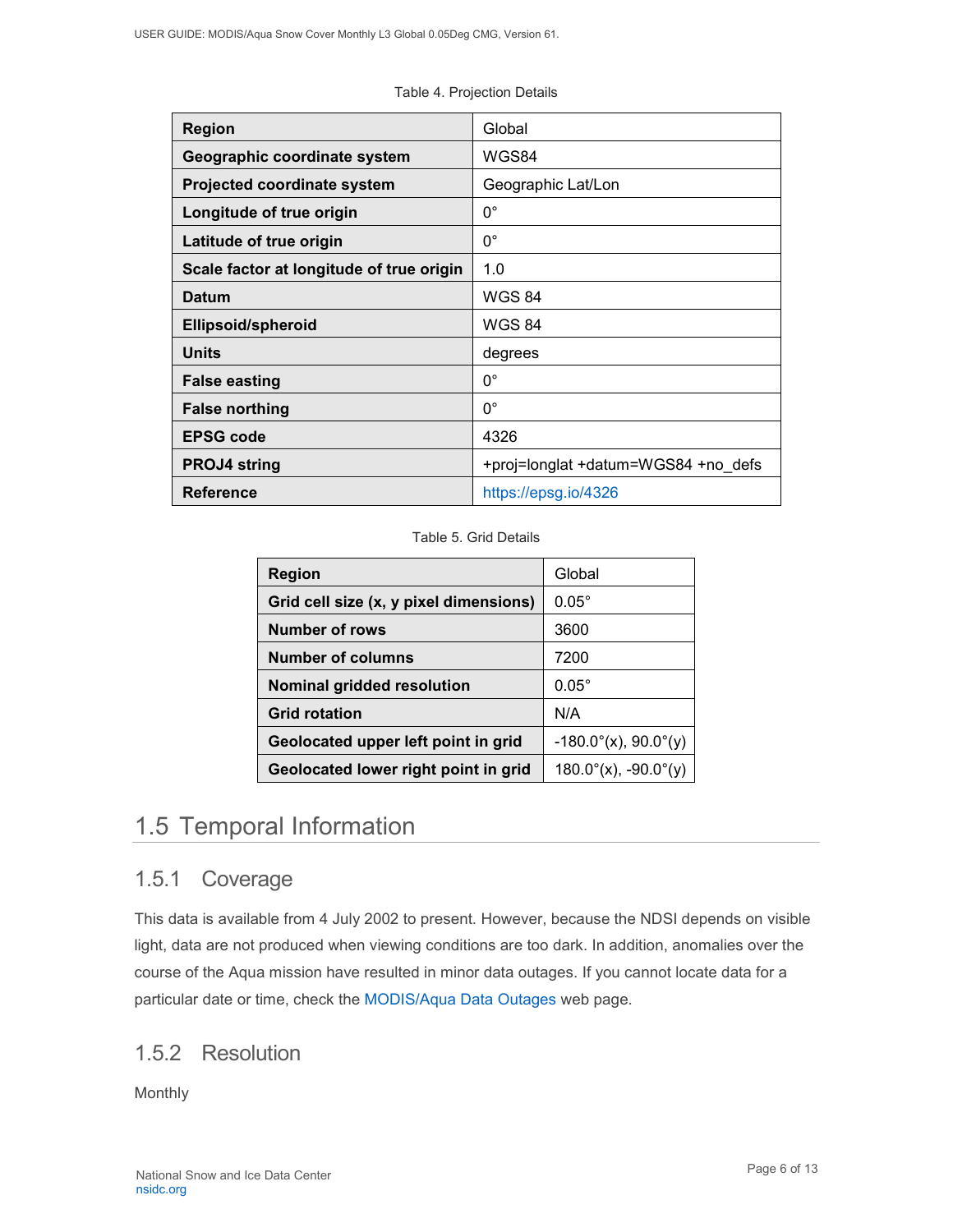| <b>Region</b>                            | Global                              |
|------------------------------------------|-------------------------------------|
| Geographic coordinate system             | WGS84                               |
| <b>Projected coordinate system</b>       | Geographic Lat/Lon                  |
| Longitude of true origin                 | $0^{\circ}$                         |
| Latitude of true origin                  | $0^{\circ}$                         |
| Scale factor at longitude of true origin | 1.0                                 |
| <b>Datum</b>                             | <b>WGS 84</b>                       |
| Ellipsoid/spheroid                       | <b>WGS 84</b>                       |
| <b>Units</b>                             | degrees                             |
| <b>False easting</b>                     | $0^{\circ}$                         |
| <b>False northing</b>                    | $0^{\circ}$                         |
| <b>EPSG code</b>                         | 4326                                |
| <b>PROJ4 string</b>                      | +proj=longlat +datum=WGS84 +no defs |
| <b>Reference</b>                         | https://epsg.io/4326                |

Table 4. Projection Details

#### Table 5. Grid Details

| <b>Region</b>                          | Global                         |
|----------------------------------------|--------------------------------|
| Grid cell size (x, y pixel dimensions) | $0.05^\circ$                   |
| <b>Number of rows</b>                  | 3600                           |
| <b>Number of columns</b>               | 7200                           |
| Nominal gridded resolution             | $0.05^\circ$                   |
| <b>Grid rotation</b>                   | N/A                            |
| Geolocated upper left point in grid    | $-180.0^{\circ}(x)$ , 90.0°(y) |
| Geolocated lower right point in grid   | $180.0^\circ(x)$ , -90.0°(y)   |

## <span id="page-6-0"></span>1.5 Temporal Information

### <span id="page-6-1"></span>1.5.1 Coverage

This data is available from 4 July 2002 to present. However, because the NDSI depends on visible light, data are not produced when viewing conditions are too dark. In addition, anomalies over the course of the Aqua mission have resulted in minor data outages. If you cannot locate data for a particular date or time, check the MODIS/Aqua [Data Outages](http://modaps.nascom.nasa.gov/services/production/outages_aqua.html) web page.

### <span id="page-6-2"></span>1.5.2 Resolution

Monthly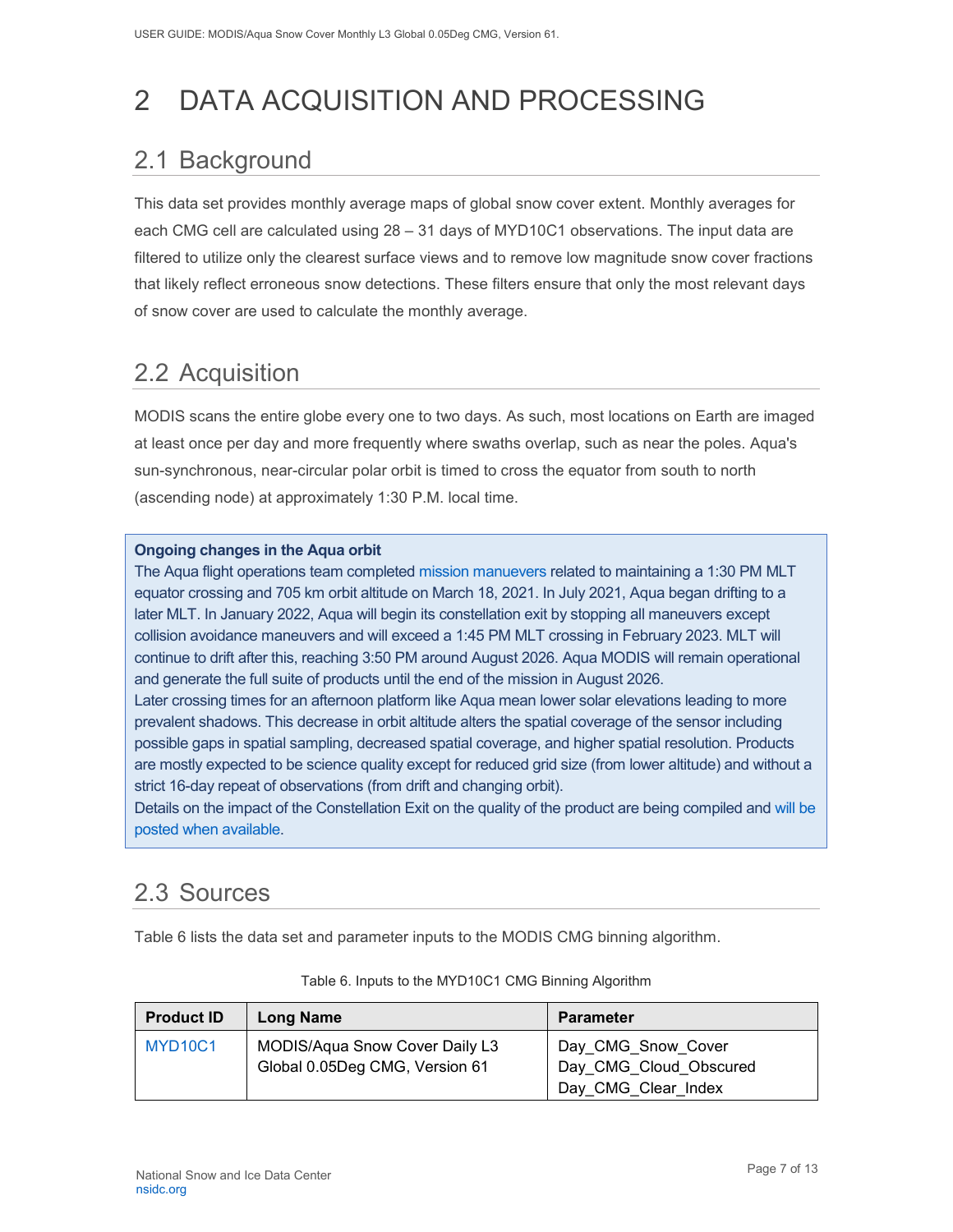# <span id="page-7-0"></span>2 DATA ACQUISITION AND PROCESSING

## <span id="page-7-1"></span>2.1 Background

This data set provides monthly average maps of global snow cover extent. Monthly averages for each CMG cell are calculated using 28 – 31 days of MYD10C1 observations. The input data are filtered to utilize only the clearest surface views and to remove low magnitude snow cover fractions that likely reflect erroneous snow detections. These filters ensure that only the most relevant days of snow cover are used to calculate the monthly average.

## <span id="page-7-2"></span>2.2 Acquisition

MODIS scans the entire globe every one to two days. As such, most locations on Earth are imaged at least once per day and more frequently where swaths overlap, such as near the poles. Aqua's sun-synchronous, near-circular polar orbit is timed to cross the equator from south to north (ascending node) at approximately 1:30 P.M. local time.

#### **Ongoing changes in the Aqua orbit**

The Aqua flight operations team completed [mission manuevers](https://modis.gsfc.nasa.gov/news/individual.php?news_id=100389) related to maintaining a 1:30 PM MLT equator crossing and 705 km orbit altitude on March 18, 2021. In July 2021, Aqua began drifting to a later MLT. In January 2022, Aqua will begin its constellation exit by stopping all maneuvers except collision avoidance maneuvers and will exceed a 1:45 PM MLT crossing in February 2023. MLT will continue to drift after this, reaching 3:50 PM around August 2026. Aqua MODIS will remain operational and generate the full suite of products until the end of the mission in August 2026.

Later crossing times for an afternoon platform like Aqua mean lower solar elevations leading to more prevalent shadows. This decrease in orbit altitude alters the spatial coverage of the sensor including possible gaps in spatial sampling, decreased spatial coverage, and higher spatial resolution. Products are mostly expected to be science quality except for reduced grid size (from lower altitude) and without a strict 16-day repeat of observations (from drift and changing orbit).

Details on the impact of the Constellation Exit on the quality of the product are being compiled and [will be](https://landweb.modaps.eosdis.nasa.gov/cgi-bin/QS/new/index.cgi)  [posted when available.](https://landweb.modaps.eosdis.nasa.gov/cgi-bin/QS/new/index.cgi)

## <span id="page-7-3"></span>2.3 Sources

Table 6 lists the data set and parameter inputs to the MODIS CMG binning algorithm.

| <b>Product ID</b>                | <b>Long Name</b>                                                 | <b>Parameter</b>                             |
|----------------------------------|------------------------------------------------------------------|----------------------------------------------|
| MYD <sub>10</sub> C <sub>1</sub> | MODIS/Aqua Snow Cover Daily L3<br>Global 0.05Deg CMG, Version 61 | Day CMG Snow Cover<br>Day CMG Cloud Obscured |
|                                  |                                                                  | Day CMG Clear Index                          |

#### Table 6. Inputs to the MYD10C1 CMG Binning Algorithm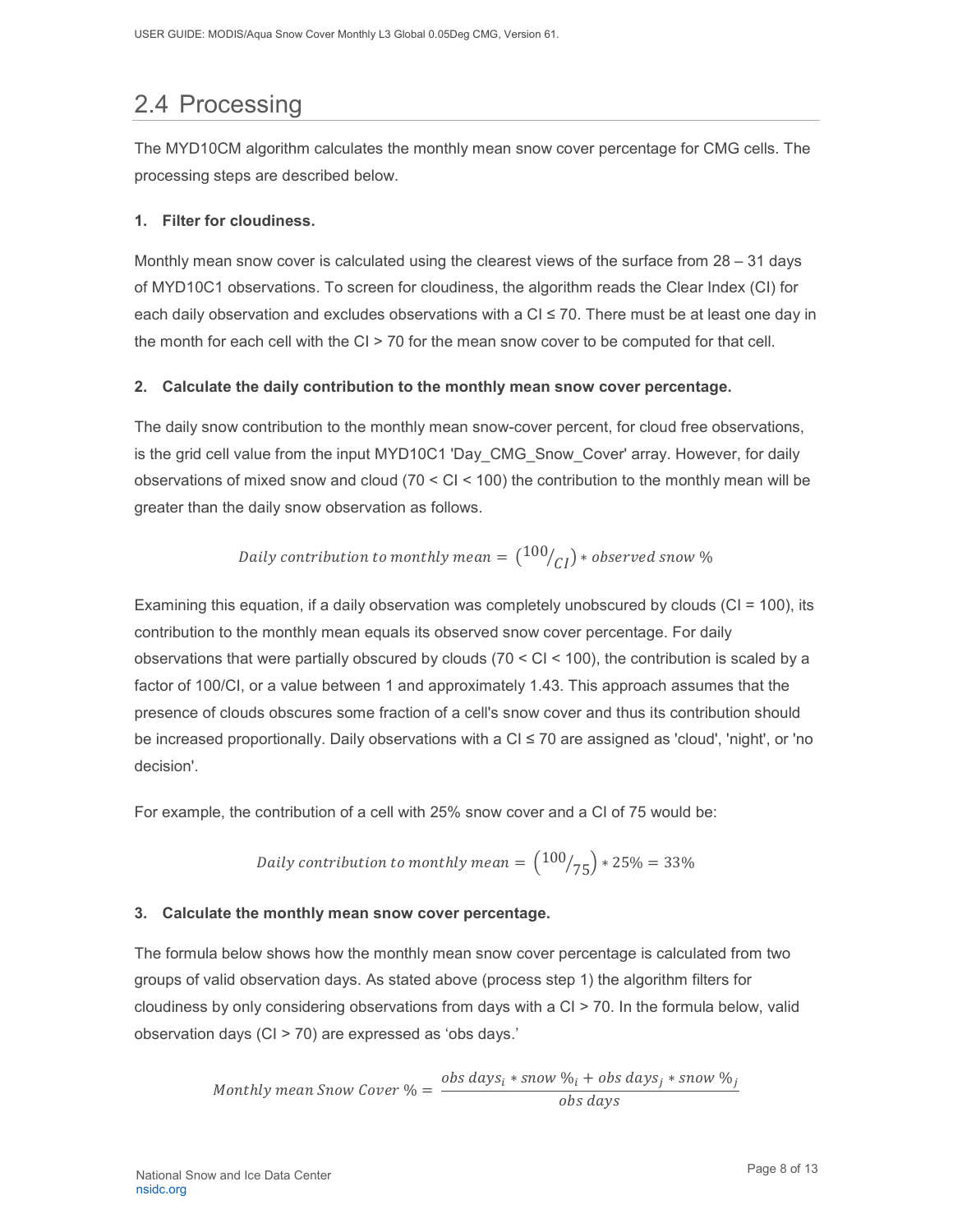## <span id="page-8-0"></span>2.4 Processing

The MYD10CM algorithm calculates the monthly mean snow cover percentage for CMG cells. The processing steps are described below.

#### **1. Filter for cloudiness.**

Monthly mean snow cover is calculated using the clearest views of the surface from 28 – 31 days of MYD10C1 observations. To screen for cloudiness, the algorithm reads the Clear Index (CI) for each daily observation and excludes observations with a  $CI \le 70$ . There must be at least one day in the month for each cell with the CI > 70 for the mean snow cover to be computed for that cell.

#### **2. Calculate the daily contribution to the monthly mean snow cover percentage.**

The daily snow contribution to the monthly mean snow-cover percent, for cloud free observations, is the grid cell value from the input MYD10C1 'Day\_CMG\_Snow\_Cover' array. However, for daily observations of mixed snow and cloud (70 < CI < 100) the contribution to the monthly mean will be greater than the daily snow observation as follows.

Daily contribution to monthly mean = 
$$
\left(\frac{100}{CI}\right) \times observed
$$
 snow %

Examining this equation, if a daily observation was completely unobscured by clouds (CI = 100), its contribution to the monthly mean equals its observed snow cover percentage. For daily observations that were partially obscured by clouds  $(70 < CI < 100)$ , the contribution is scaled by a factor of 100/CI, or a value between 1 and approximately 1.43. This approach assumes that the presence of clouds obscures some fraction of a cell's snow cover and thus its contribution should be increased proportionally. Daily observations with a CI ≤ 70 are assigned as 'cloud', 'night', or 'no decision'.

For example, the contribution of a cell with 25% snow cover and a CI of 75 would be:

Daily contribution to monthly mean = 
$$
\left(\frac{100}{75}\right) * 25\% = 33\%
$$

#### **3. Calculate the monthly mean snow cover percentage.**

The formula below shows how the monthly mean snow cover percentage is calculated from two groups of valid observation days. As stated above (process step 1) the algorithm filters for cloudiness by only considering observations from days with a CI > 70. In the formula below, valid observation days (CI > 70) are expressed as 'obs days.'

Monthly mean Snow Cover 
$$
\% = \frac{obs \, days_i * snow \, %_i + obs \, days_j * snow \, %_j}{obs \, days}
$$

Page 8 of 13 National Snow and Ice Data Center [nsidc.org](https://nsidc.org/)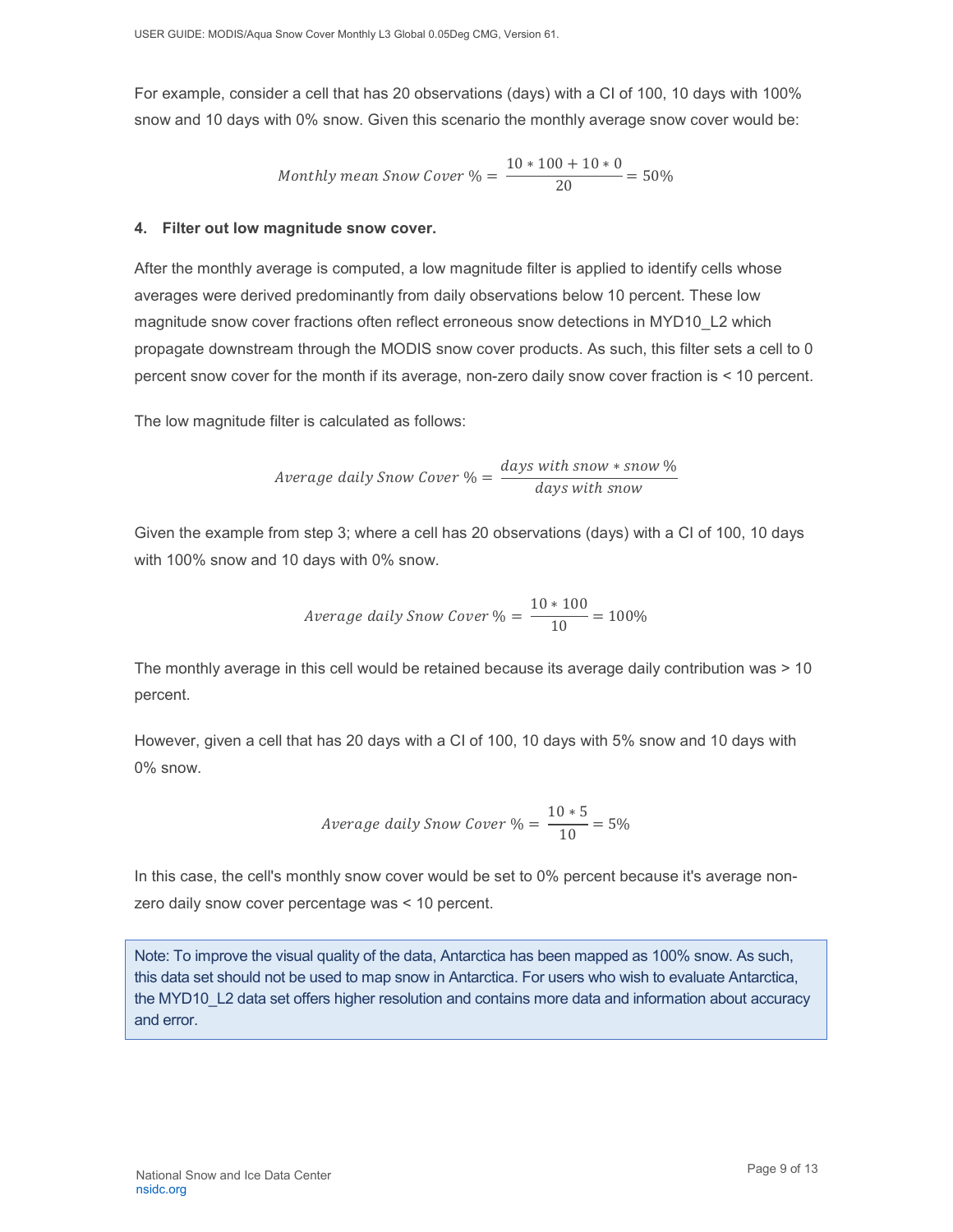For example, consider a cell that has 20 observations (days) with a CI of 100, 10 days with 100% snow and 10 days with 0% snow. Given this scenario the monthly average snow cover would be:

Monthly mean Snow Cover 
$$
\% = \frac{10 * 100 + 10 * 0}{20} = 50\%
$$

#### **4. Filter out low magnitude snow cover.**

After the monthly average is computed, a low magnitude filter is applied to identify cells whose averages were derived predominantly from daily observations below 10 percent. These low magnitude snow cover fractions often reflect erroneous snow detections in MYD10\_L2 which propagate downstream through the MODIS snow cover products. As such, this filter sets a cell to 0 percent snow cover for the month if its average, non-zero daily snow cover fraction is < 10 percent.

The low magnitude filter is calculated as follows:

$$
Average \text{ daily Snow Cover } \% = \frac{days \text{ with snow } * snow \%}{days \text{ with snow}}
$$

Given the example from step 3; where a cell has 20 observations (days) with a CI of 100, 10 days with 100% snow and 10 days with 0% snow.

$$
Average \ daily \ Snow \ Cover \ \% = \frac{10 * 100}{10} = 100\%
$$

The monthly average in this cell would be retained because its average daily contribution was > 10 percent.

However, given a cell that has 20 days with a CI of 100, 10 days with 5% snow and 10 days with 0% snow.

$$
Average \ daily \ Snow \ Cover \ \% = \frac{10 * 5}{10} = 5\%
$$

In this case, the cell's monthly snow cover would be set to 0% percent because it's average nonzero daily snow cover percentage was < 10 percent.

Note: To improve the visual quality of the data, Antarctica has been mapped as 100% snow. As such, this data set should not be used to map snow in Antarctica. For users who wish to evaluate Antarctica, the MYD10\_L2 data set offers higher resolution and contains more data and information about accuracy and error.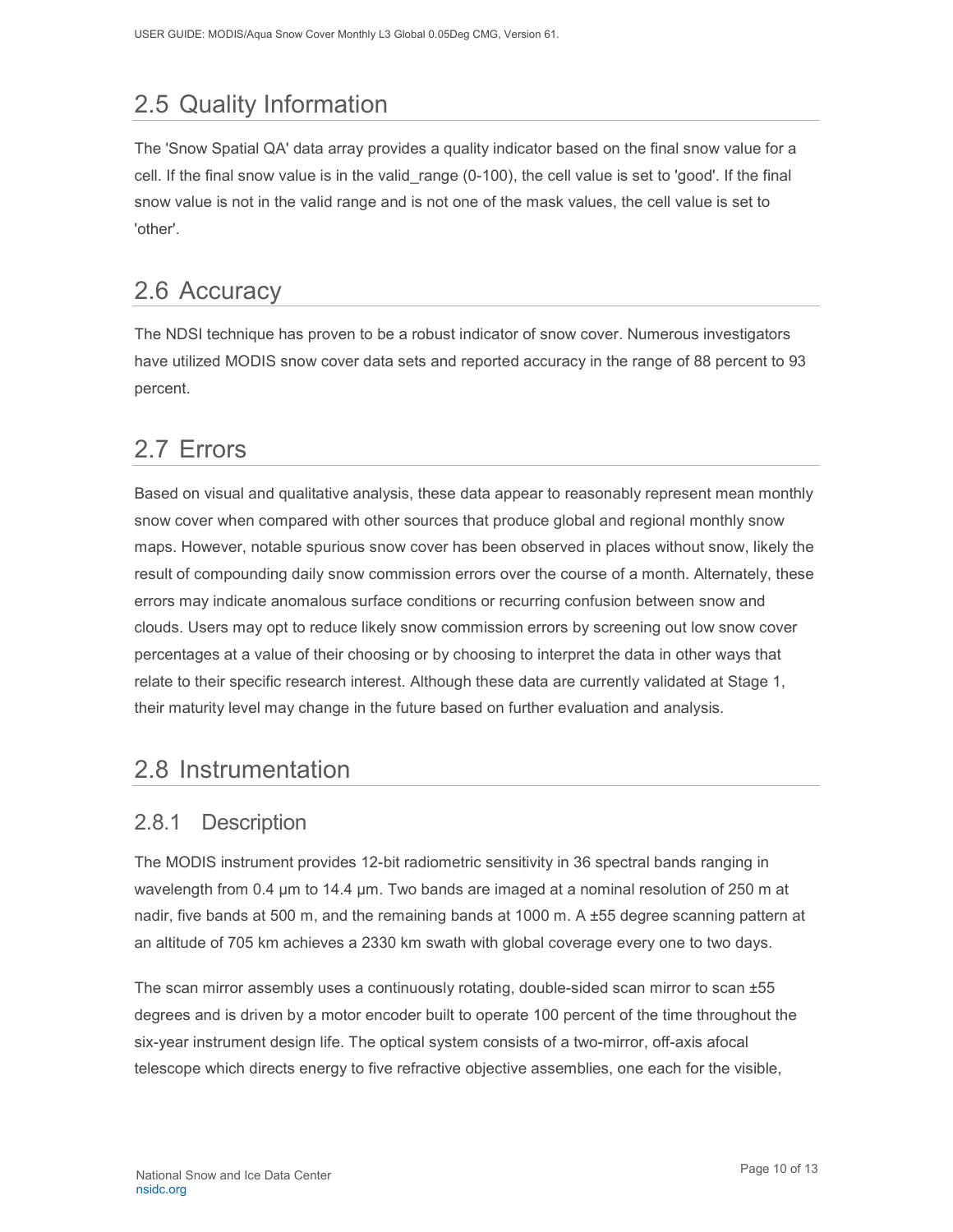## <span id="page-10-0"></span>2.5 Quality Information

The 'Snow Spatial QA' data array provides a quality indicator based on the final snow value for a cell. If the final snow value is in the valid\_range (0-100), the cell value is set to 'good'. If the final snow value is not in the valid range and is not one of the mask values, the cell value is set to 'other'.

## <span id="page-10-1"></span>2.6 Accuracy

The NDSI technique has proven to be a robust indicator of snow cover. Numerous investigators have utilized MODIS snow cover data sets and reported accuracy in the range of 88 percent to 93 percent.

## <span id="page-10-2"></span>2.7 Errors

Based on visual and qualitative analysis, these data appear to reasonably represent mean monthly snow cover when compared with other sources that produce global and regional monthly snow maps. However, notable spurious snow cover has been observed in places without snow, likely the result of compounding daily snow commission errors over the course of a month. Alternately, these errors may indicate anomalous surface conditions or recurring confusion between snow and clouds. Users may opt to reduce likely snow commission errors by screening out low snow cover percentages at a value of their choosing or by choosing to interpret the data in other ways that relate to their specific research interest. Although these data are currently validated at Stage 1, their maturity level may change in the future based on further evaluation and analysis.

### <span id="page-10-3"></span>2.8 Instrumentation

### <span id="page-10-4"></span>2.8.1 Description

The MODIS instrument provides 12-bit radiometric sensitivity in 36 spectral bands ranging in wavelength from 0.4 µm to 14.4 µm. Two bands are imaged at a nominal resolution of 250 m at nadir, five bands at 500 m, and the remaining bands at 1000 m. A ±55 degree scanning pattern at an altitude of 705 km achieves a 2330 km swath with global coverage every one to two days.

The scan mirror assembly uses a continuously rotating, double-sided scan mirror to scan ±55 degrees and is driven by a motor encoder built to operate 100 percent of the time throughout the six-year instrument design life. The optical system consists of a two-mirror, off-axis afocal telescope which directs energy to five refractive objective assemblies, one each for the visible,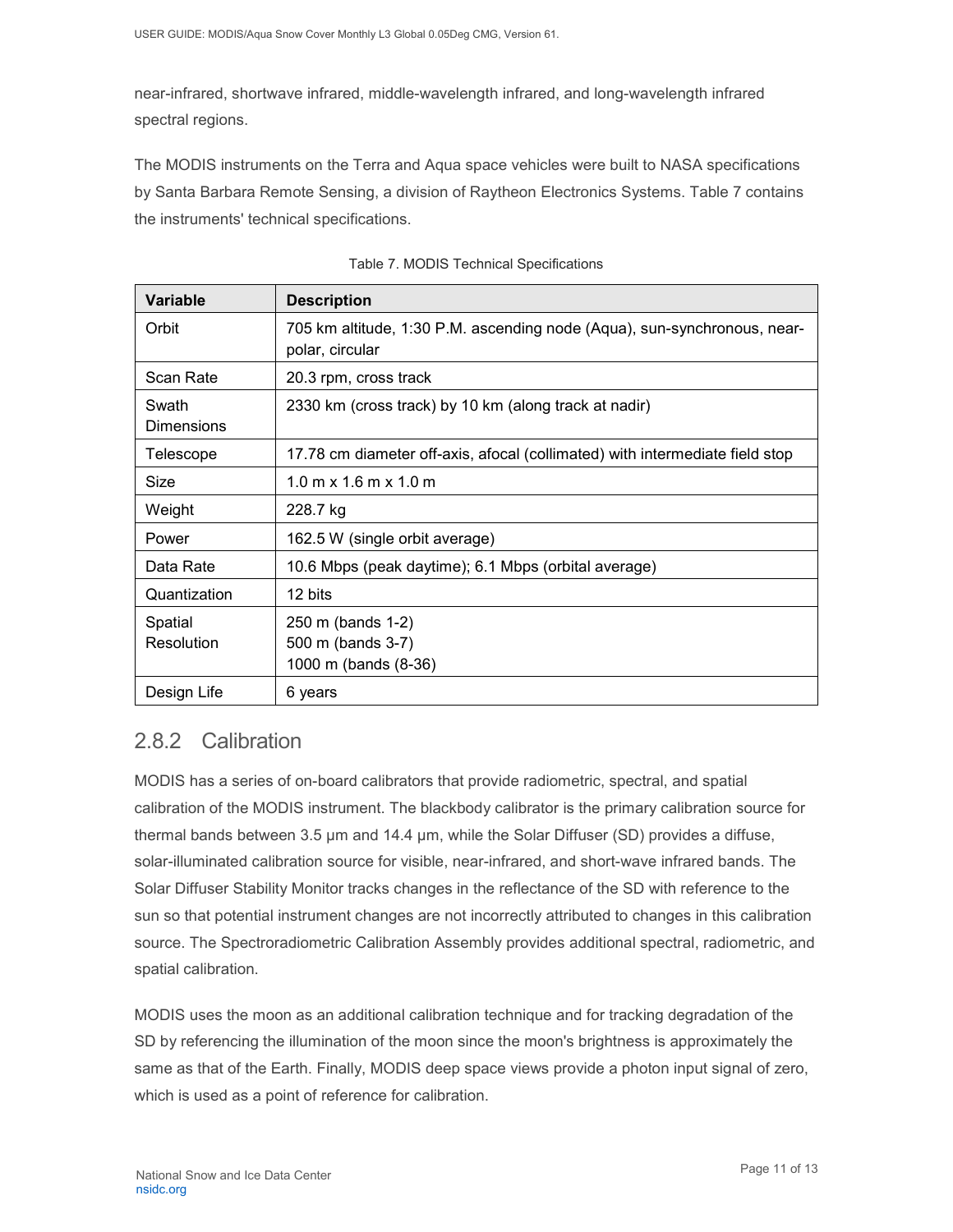near-infrared, shortwave infrared, middle-wavelength infrared, and long-wavelength infrared spectral regions.

The MODIS instruments on the Terra and Aqua space vehicles were built to NASA specifications by Santa Barbara Remote Sensing, a division of Raytheon Electronics Systems. Table 7 contains the instruments' technical specifications.

| <b>Variable</b>            | <b>Description</b>                                                                          |
|----------------------------|---------------------------------------------------------------------------------------------|
| Orbit                      | 705 km altitude, 1:30 P.M. ascending node (Aqua), sun-synchronous, near-<br>polar, circular |
| Scan Rate                  | 20.3 rpm, cross track                                                                       |
| Swath<br><b>Dimensions</b> | 2330 km (cross track) by 10 km (along track at nadir)                                       |
| Telescope                  | 17.78 cm diameter off-axis, afocal (collimated) with intermediate field stop                |
| Size                       | $1.0 \text{ m} \times 1.6 \text{ m} \times 1.0 \text{ m}$                                   |
| Weight                     | 228.7 kg                                                                                    |
| Power                      | 162.5 W (single orbit average)                                                              |
| Data Rate                  | 10.6 Mbps (peak daytime); 6.1 Mbps (orbital average)                                        |
| Quantization               | 12 bits                                                                                     |
| Spatial<br>Resolution      | 250 m (bands 1-2)<br>500 m (bands 3-7)<br>1000 m (bands (8-36)                              |
| Design Life                | 6 years                                                                                     |

### <span id="page-11-0"></span>2.8.2 Calibration

MODIS has a series of on-board calibrators that provide radiometric, spectral, and spatial calibration of the MODIS instrument. The blackbody calibrator is the primary calibration source for thermal bands between 3.5 µm and 14.4 µm, while the Solar Diffuser (SD) provides a diffuse, solar-illuminated calibration source for visible, near-infrared, and short-wave infrared bands. The Solar Diffuser Stability Monitor tracks changes in the reflectance of the SD with reference to the sun so that potential instrument changes are not incorrectly attributed to changes in this calibration source. The Spectroradiometric Calibration Assembly provides additional spectral, radiometric, and spatial calibration.

MODIS uses the moon as an additional calibration technique and for tracking degradation of the SD by referencing the illumination of the moon since the moon's brightness is approximately the same as that of the Earth. Finally, MODIS deep space views provide a photon input signal of zero, which is used as a point of reference for calibration.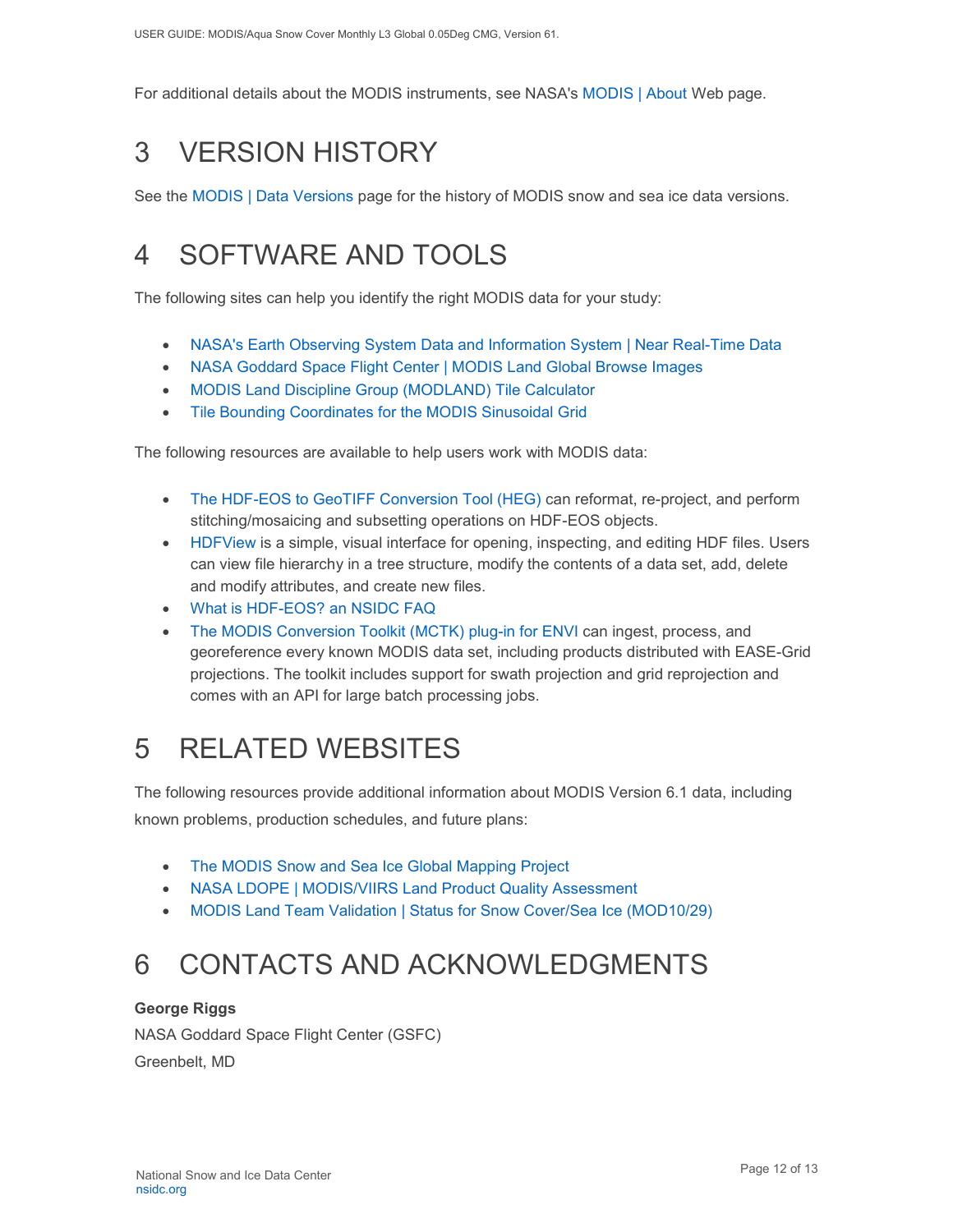For additional details about the MODIS instruments, see NASA's [MODIS | About](http://modis.gsfc.nasa.gov/about/) Web page.

# <span id="page-12-0"></span>3 VERSION HISTORY

See the [MODIS | Data Versions](https://nsidc.org/data/modis/data_versions.html) page for the history of MODIS snow and sea ice data versions.

# <span id="page-12-1"></span>4 SOFTWARE AND TOOLS

The following sites can help you identify the right MODIS data for your study:

- [NASA's Earth Observing System Data and Information System | Near Real-Time Data](http://earthdata.nasa.gov/data/near-real-time-data/rapid-response)
- [NASA Goddard Space Flight Center | MODIS Land Global Browse Images](https://landweb.modaps.eosdis.nasa.gov/cgi-bin/browse/browseMODIS.cgi)
- [MODIS Land Discipline Group \(MODLAND\) Tile Calculator](http://landweb.nascom.nasa.gov/cgi-bin/developer/tilemap.cgi)
- [Tile Bounding Coordinates for the MODIS Sinusoidal Grid](http://modis-land.gsfc.nasa.gov/pdf/sn_bound_10deg.txt)

The following resources are available to help users work with MODIS data:

- [The HDF-EOS to GeoTIFF Conversion Tool \(HEG\)](https://wiki.earthdata.nasa.gov/display/DAS/HEG%3A++HDF-EOS+to+GeoTIFF+Conversion+Tool) can reformat, re-project, and perform stitching/mosaicing and subsetting operations on HDF-EOS objects.
- [HDFView](https://www.hdfgroup.org/downloads/hdfview/) is a simple, visual interface for opening, inspecting, and editing HDF files. Users can view file hierarchy in a tree structure, modify the contents of a data set, add, delete and modify attributes, and create new files.
- [What is HDF-EOS? an NSIDC FAQ](https://nsidc.org/support/faq/what-hdf-eos)
- [The MODIS Conversion Toolkit \(MCTK\)](https://github.com/dawhite/MCTK) plug-in for ENVI can ingest, process, and georeference every known MODIS data set, including products distributed with EASE-Grid projections. The toolkit includes support for swath projection and grid reprojection and comes with an API for large batch processing jobs.

# <span id="page-12-2"></span>5 RELATED WEBSITES

The following resources provide additional information about MODIS Version 6.1 data, including known problems, production schedules, and future plans:

- [The MODIS Snow and Sea Ice Global Mapping Project](http://modis-snow-ice.gsfc.nasa.gov/)
- [NASA LDOPE | MODIS/VIIRS Land Product Quality Assessment](https://landweb.modaps.eosdis.nasa.gov/cgi-bin/QS/new/index.cgi)
- [MODIS Land Team Validation | Status for Snow Cover/Sea Ice \(MOD10/29\)](https://modis-land.gsfc.nasa.gov/ValStatus.php?ProductID=MOD10/29)

# <span id="page-12-3"></span>6 CONTACTS AND ACKNOWLEDGMENTS

#### **George Riggs**

NASA Goddard Space Flight Center (GSFC) Greenbelt, MD